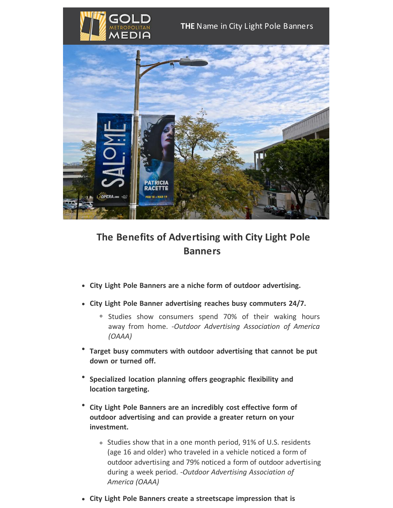



## **The Benefits of Advertising with City Light Pole Banners**

- **City Light Pole Banners are a niche form of outdoor advertising.**
- **City Light Pole Banner advertising reaches busy commuters 24/7.**
	- <sup>o</sup> Studies show consumers spend 70% of their waking hours away from home. -*Outdoor Advertising Association of America (OAAA)*
- **Target busy commuters with outdoor advertising that cannot be put down or turned off.**
- **Specialized location planning offers geographic flexibility and location targeting.**
- **City Light Pole Banners are an incredibly cost effective form of outdoor advertising and can provide a greater return on your investment.**
	- o Studies show that in a one month period, 91% of U.S. residents (age 16 and older) who traveled in a vehicle noticed a form of outdoor advertising and 79% noticed a form of outdoor advertising during a week period. -*Outdoor Advertising Association of America (OAAA)*
- **City Light Pole Banners create a streetscape impression that is**